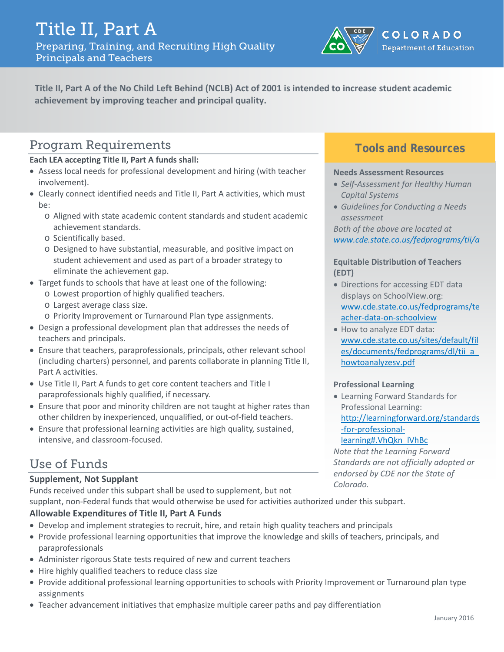

**Title II, Part A of the No Child Left Behind (NCLB) Act of 2001 is intended to increase student academic achievement by improving teacher and principal quality.**

# Program Requirements

**Each LEA accepting Title II, Part A funds shall:**

- Assess local needs for professional development and hiring (with teacher involvement).
- Clearly connect identified needs and Title II, Part A activities, which must be:
	- o Aligned with state academic content standards and student academic achievement standards.
	- o Scientifically based.
	- o Designed to have substantial, measurable, and positive impact on student achievement and used as part of a broader strategy to eliminate the achievement gap.
- Target funds to schools that have at least one of the following:
	- o Lowest proportion of highly qualified teachers.
		- o Largest average class size.
		- o Priority Improvement or Turnaround Plan type assignments.
- Design a professional development plan that addresses the needs of teachers and principals.
- Ensure that teachers, paraprofessionals, principals, other relevant school (including charters) personnel, and parents collaborate in planning Title II, Part A activities.
- Use Title II, Part A funds to get core content teachers and Title I paraprofessionals highly qualified, if necessary.
- Ensure that poor and minority children are not taught at higher rates than other children by inexperienced, unqualified, or out-of-field teachers.
- Ensure that professional learning activities are high quality, sustained, intensive, and classroom-focused.

# Use of Funds

#### **Supplement, Not Supplant**

Funds received under this subpart shall be used to supplement, but not supplant, non-Federal funds that would otherwise be used for activities authorized under this subpart.

#### **Allowable Expenditures of Title II, Part A Funds**

- Develop and implement strategies to recruit, hire, and retain high quality teachers and principals
- Provide professional learning opportunities that improve the knowledge and skills of teachers, principals, and paraprofessionals
- Administer rigorous State tests required of new and current teachers
- Hire highly qualified teachers to reduce class size
- Provide additional professional learning opportunities to schools with Priority Improvement or Turnaround plan type assignments
- Teacher advancement initiatives that emphasize multiple career paths and pay differentiation

### **Tools and Resources**

#### **Needs Assessment Resources**

- *Self-Assessment for Healthy Human Capital Systems*
- *Guidelines for Conducting a Needs assessment*

*Both of the above are located at [www.cde.state.co.us/fedprograms/tii/a](http://www.cde.state.co.us/fedprograms/tii/a)*

#### **Equitable Distribution of Teachers (EDT)**

- Directions for accessing EDT data displays on SchoolView.org: [www.cde.state.co.us/fedprograms/te](http://www.cde.state.co.us/fedprograms/teacher-data-on-schoolview) [acher-data-on-schoolview](http://www.cde.state.co.us/fedprograms/teacher-data-on-schoolview)
- How to analyze EDT data: [www.cde.state.co.us/sites/default/fil](http://www.cde.state.co.us/sites/default/files/documents/fedprograms/dl/tii_a_howtoanalyzesv.pdf) [es/documents/fedprograms/dl/tii\\_a\\_](http://www.cde.state.co.us/sites/default/files/documents/fedprograms/dl/tii_a_howtoanalyzesv.pdf) [howtoanalyzesv.pdf](http://www.cde.state.co.us/sites/default/files/documents/fedprograms/dl/tii_a_howtoanalyzesv.pdf)

#### **Professional Learning**

• Learning Forward Standards for Professional Learning: [http://learningforward.org/standards](http://learningforward.org/standards-for-professional-learning#.VhQkn_lVhBc) [-for-professional-](http://learningforward.org/standards-for-professional-learning#.VhQkn_lVhBc)

#### [learning#.VhQkn\\_lVhBc](http://learningforward.org/standards-for-professional-learning#.VhQkn_lVhBc)

*Note that the Learning Forward Standards are not officially adopted or endorsed by CDE nor the State of Colorado.*